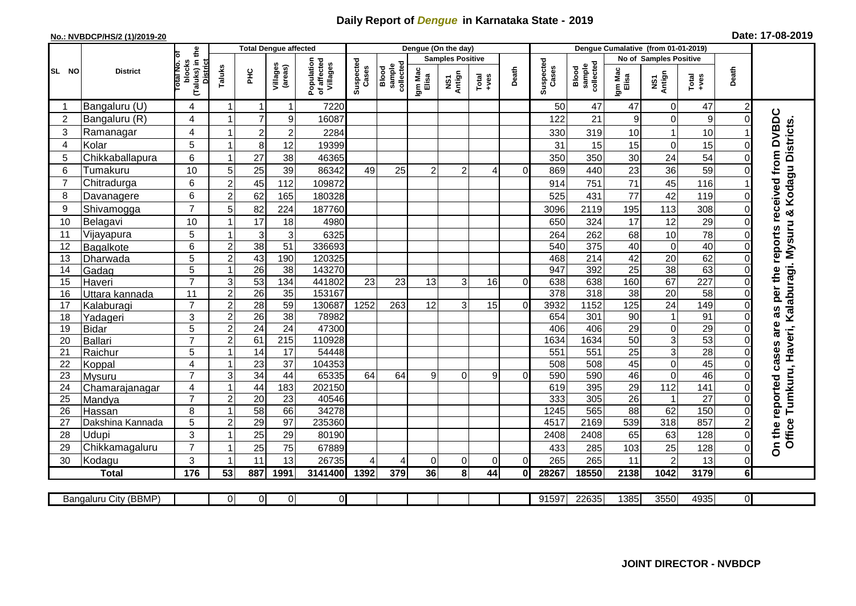## **Daily Report of** *Dengue* **in Karnataka State - 2019**

## **No.: NVBDCP/HS/2 (1)/2019-20 Date: 17-08-2019**

|                | <b>District</b>            |                                                             | <b>Total Dengue affected</b> |                 |                       |                                       |                    |                              | Dengue (On the day)     |                                 |                  |              |                    |                                     |                  |                         |                        |                         |                                                                         |
|----------------|----------------------------|-------------------------------------------------------------|------------------------------|-----------------|-----------------------|---------------------------------------|--------------------|------------------------------|-------------------------|---------------------------------|------------------|--------------|--------------------|-------------------------------------|------------------|-------------------------|------------------------|-------------------------|-------------------------------------------------------------------------|
|                |                            |                                                             |                              |                 |                       |                                       |                    |                              | <b>Samples Positive</b> |                                 |                  |              |                    |                                     |                  | No of Samples Positive  |                        |                         |                                                                         |
| SL NO          |                            | (Taluks) in the<br>otal No. of<br>blocks<br><b>District</b> | Taluks                       | PНC             | Villages<br>(areas)   | Population<br>of affected<br>Villages | Suspected<br>Cases | sample<br>collected<br>Blood | Igm Mac<br>Elisa        | Antign<br>$\overline{\text{S}}$ | $Tota$<br>$+ves$ | Death        | Suspected<br>Cases | collected<br><b>Blood</b><br>sample | Igm Mac<br>Elisa | NS1<br>Antign           | Death<br>Total<br>+ves |                         |                                                                         |
|                | Bangaluru (U)              | 4                                                           | 1                            | Ľ               | $\overline{1}$        | 7220                                  |                    |                              |                         |                                 |                  |              | 50                 | 47                                  | 47               | 0                       | 47                     |                         |                                                                         |
| $\overline{2}$ | Bangaluru (R)              | $\overline{\mathbf{4}}$                                     |                              |                 | 9                     | 16087                                 |                    |                              |                         |                                 |                  |              | 122                | 21                                  | $\boldsymbol{9}$ | $\mathbf 0$             | $\boldsymbol{9}$       | $\Omega$                |                                                                         |
| 3              | Ramanagar                  | $\overline{\mathbf{4}}$                                     |                              | $\overline{2}$  | $\overline{c}$        | 2284                                  |                    |                              |                         |                                 |                  |              | 330                | 319                                 | 10               |                         | 10                     |                         |                                                                         |
| 4              | Kolar                      | 5                                                           |                              | 8               | 12                    | 19399                                 |                    |                              |                         |                                 |                  |              | 31                 | 15                                  | 15               | $\mathbf 0$             | 15                     |                         |                                                                         |
| 5              | Chikkaballapura            | 6                                                           |                              | 27              | 38                    | 46365                                 |                    |                              |                         |                                 |                  |              | 350                | 350                                 | 30               | 24                      | 54                     | $\Omega$                |                                                                         |
| 6              | Tumakuru                   | 10                                                          | 5 <sup>1</sup>               | 25              | 39                    | 86342                                 | 49                 | 25                           | $\overline{c}$          | $\overline{2}$                  | 4                | $\Omega$     | 869                | 440                                 | 23               | 36                      | 59                     |                         |                                                                         |
| $\overline{7}$ | Chitradurga                | 6                                                           | $\overline{2}$               | 45              | 112                   | 109872                                |                    |                              |                         |                                 |                  |              | 914                | 751                                 | 71               | 45                      | 116                    |                         |                                                                         |
| 8              | Davanagere                 | 6                                                           | 2                            | 62              | 165                   | 180328                                |                    |                              |                         |                                 |                  |              | 525                | 431                                 | 77               | 42                      | 119                    | $\Omega$                |                                                                         |
| 9              | Shivamogga                 | $\overline{7}$                                              | 5                            | 82              | 224                   | 187760                                |                    |                              |                         |                                 |                  |              | 3096               | 2119                                | 195              | 113                     | 308                    | $\Omega$                | reports received from DVBDC                                             |
| 10             | Belagavi                   | 10                                                          |                              | 17              | 18                    | 4980                                  |                    |                              |                         |                                 |                  |              | 650                | 324                                 | 17               | 12                      | 29                     | 0                       |                                                                         |
| 11             | Vijayapura                 | 5                                                           |                              | 3               | 3                     | 6325                                  |                    |                              |                         |                                 |                  |              | 264                | 262                                 | 68               | 10                      | 78                     |                         |                                                                         |
| 12             | <b>Bagalkote</b>           | 6                                                           | $\overline{2}$               | $\overline{38}$ | $\overline{51}$       | 336693                                |                    |                              |                         |                                 |                  |              | 540                | 375                                 | 40               | $\mathbf 0$             | 40                     | $\Omega$                |                                                                         |
| 13             | Dharwada                   | $\overline{5}$                                              | $\overline{c}$               | 43              | 190                   | 120325                                |                    |                              |                         |                                 |                  |              | 468                | 214                                 | 42               | 20                      | 62                     | $\Omega$                |                                                                         |
| 14             | Gadag                      | $\overline{5}$                                              |                              | $\overline{26}$ | $\overline{38}$       | 143270                                |                    |                              |                         |                                 |                  |              | 947                | 392                                 | 25               | 38                      | 63                     | $\Omega$                |                                                                         |
| 15             | Haveri                     | $\overline{7}$                                              | $\overline{3}$               | 53              | 134                   | 441802                                | 23                 | 23                           | 13                      | 3                               | 16               | $\Omega$     | 638                | 638                                 | 160              | 67                      | $\overline{227}$       | $\Omega$                |                                                                         |
| 16             | Uttara kannada             | $\overline{11}$                                             | $\overline{2}$               | $\overline{26}$ | 35                    | 153167                                |                    |                              |                         |                                 |                  |              | 378                | 318                                 | $\overline{38}$  | 20                      | 58                     | $\Omega$                | per the                                                                 |
| 17             | Kalaburagi                 | $\overline{7}$                                              | $\overline{2}$               | $\overline{28}$ | $\overline{59}$       | 130687                                | 1252               | 263                          | 12                      | $\mathbf{3}$                    | 15               | $\Omega$     | 3932               | 1152                                | $\frac{125}{2}$  | $\overline{24}$         | 149                    | $\Omega$                | as                                                                      |
| 18             | Yadageri                   | 3                                                           | $\overline{c}$               | 26              | 38                    | 78982                                 |                    |                              |                         |                                 |                  |              | 654                | 301                                 | 90               | $\overline{\mathbf{1}}$ | 91                     |                         |                                                                         |
| 19             | <b>Bidar</b>               | 5                                                           | 2                            | $\overline{24}$ | $\overline{24}$       | 47300                                 |                    |                              |                         |                                 |                  |              | 406                | 406                                 | $\overline{29}$  | $\mathbf 0$             | $\overline{29}$        |                         | are                                                                     |
| 20             | <b>Ballari</b>             | $\overline{7}$                                              | $\mathcal{P}$                | 61              | $\overline{215}$      | 110928                                |                    |                              |                         |                                 |                  |              | 1634               | 1634                                | 50               | 3                       | 53                     | O                       |                                                                         |
| 21             | Raichur                    | $\overline{5}$                                              |                              | $\overline{14}$ | $\overline{17}$       | 54448                                 |                    |                              |                         |                                 |                  |              | 551                | 551                                 | 25               | $\overline{3}$          | 28                     | $\Omega$                | cases                                                                   |
| 22             | Koppal                     | $\overline{4}$                                              |                              | 23              | $\overline{37}$       | 104353                                |                    |                              |                         |                                 |                  |              | 508                | $\overline{508}$                    | 45               | $\mathbf 0$             | 45                     | 0                       |                                                                         |
| 23             | <b>Mysuru</b>              | $\overline{7}$                                              | 3 <sup>1</sup>               | 34              | 44                    | 65335                                 | 64                 | 64                           | 9                       | $\Omega$                        | 9                | $\Omega$     | 590                | 590                                 | 46               | $\mathbf 0$             | 46                     | $\Omega$                |                                                                         |
| 24             | Chamarajanagar             | $\overline{\mathbf{4}}$                                     |                              | 44              | 183                   | 202150                                |                    |                              |                         |                                 |                  |              | 619                | 395                                 | $\overline{29}$  | 112                     | 141                    | $\Omega$                |                                                                         |
| 25<br>26       | Mandya                     | $\overline{7}$                                              | $\overline{2}$               | 20              | 23                    | 40546<br>34278                        |                    |                              |                         |                                 |                  |              | 333<br>1245        | 305<br>565                          | 26<br>88         | -1<br>62                | 27<br>150              | $\Omega$<br>$\Omega$    | reported                                                                |
| 27             | Hassan<br>Dakshina Kannada | 8<br>5                                                      | $\mathfrak{p}$               | 58<br>29        | 66<br>$\overline{97}$ | 235360                                |                    |                              |                         |                                 |                  |              | 4517               | 2169                                | 539              | $\overline{318}$        | 857                    |                         |                                                                         |
| 28             | Udupi                      | 3                                                           |                              | 25              | 29                    | 80190                                 |                    |                              |                         |                                 |                  |              | 2408               | 2408                                | 65               | 63                      | 128                    | $\Omega$                | Office Tumkuru, Haveri, Kalaburagi. Mysuru & Kodagu Districts<br>On the |
| 29             | Chikkamagaluru             | $\overline{7}$                                              |                              | 25              | 75                    | 67889                                 |                    |                              |                         |                                 |                  |              | 433                | 285                                 | 103              | 25                      | 128                    | $\Omega$                |                                                                         |
| 30             | Kodagu                     | 3                                                           |                              | 11              | 13                    | 26735                                 | 4                  | 4                            | 0                       | $\mathbf 0$                     | $\Omega$         | $\Omega$     | 265                | 265                                 | 11               | $\overline{2}$          | 13                     | $\Omega$                |                                                                         |
|                | <b>Total</b>               | 176                                                         | 53                           | 887             | 1991                  | 3141400                               | 1392               | 379                          | 36                      | 8                               | 44               | $\mathbf{0}$ | 28267              | 18550                               | 2138             | 1042                    | 3179                   | 6 <sup>1</sup>          |                                                                         |
|                |                            |                                                             |                              |                 |                       |                                       |                    |                              |                         |                                 |                  |              |                    |                                     |                  |                         |                        |                         |                                                                         |
|                | Bangaluru City (BBMP)      |                                                             | ΩI                           | $\Omega$        | $\overline{0}$        | $\overline{0}$                        |                    |                              |                         |                                 |                  |              | 91597              | 22635                               | 1385             | 3550                    | 4935                   | $\overline{\mathsf{I}}$ |                                                                         |